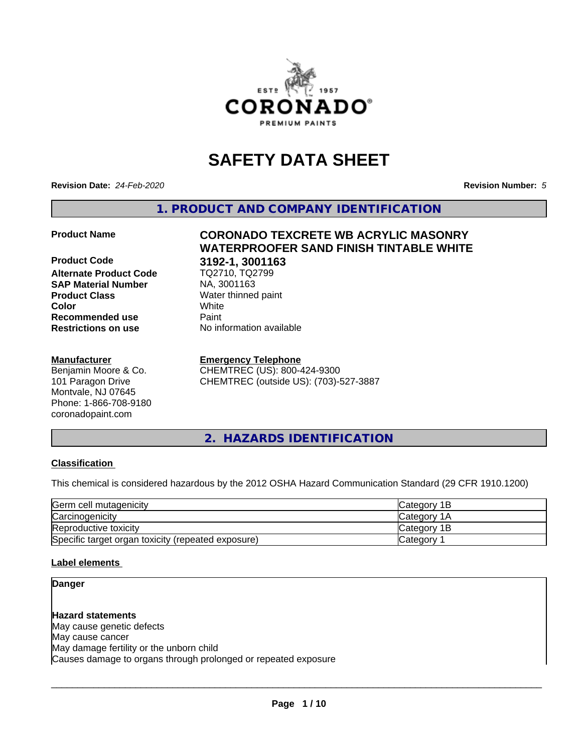

# **SAFETY DATA SHEET**

**Revision Date:** *24-Feb-2020* **Revision Number:** *5*

**1. PRODUCT AND COMPANY IDENTIFICATION**

**Alternate Product Code SAP Material Number** NA, 3001163<br>**Product Class** Water thinned **Recommended use Paint Restrictions on use** No information available

#### **Manufacturer**

Benjamin Moore & Co. 101 Paragon Drive Montvale, NJ 07645 Phone: 1-866-708-9180 coronadopaint.com

**Product Name CORONADO TEXCRETE WB ACRYLIC MASONRY WATERPROOFER SAND FINISH TINTABLE WHITE Product Code 3192-1, 3001163 Water thinned paint Color** White

**Emergency Telephone**

CHEMTREC (US): 800-424-9300 CHEMTREC (outside US): (703)-527-3887

**2. HAZARDS IDENTIFICATION**

#### **Classification**

This chemical is considered hazardous by the 2012 OSHA Hazard Communication Standard (29 CFR 1910.1200)

| Germ cell mutagenicity                             | lCategorv 1B       |
|----------------------------------------------------|--------------------|
| Carcinogenicity                                    | <b>Category 1A</b> |
| Reproductive toxicity                              | Category 1B        |
| Specific target organ toxicity (repeated exposure) | Category           |

#### **Label elements**

## **Danger**

**Hazard statements** May cause genetic defects May cause cancer May damage fertility or the unborn child Causes damage to organs through prolonged or repeated exposure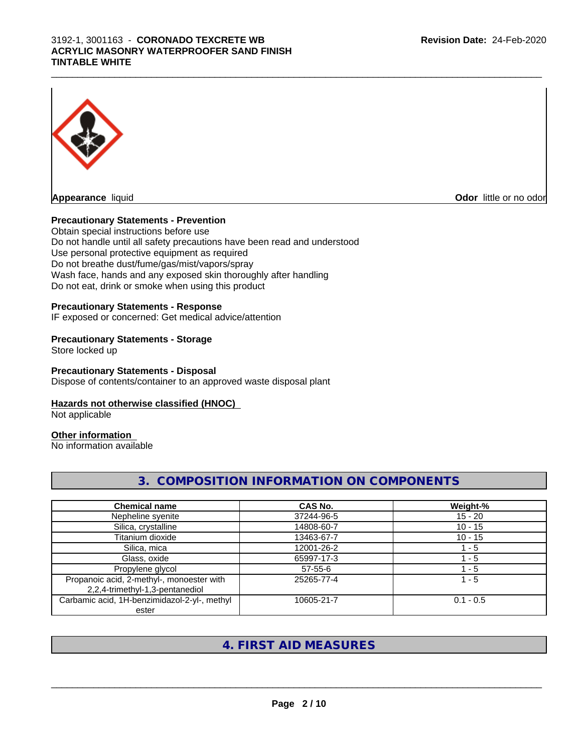

**Appearance** liquid

**Odor** little or no odor

### **Precautionary Statements - Prevention**

Obtain special instructions before use Do not handle until all safety precautions have been read and understood Use personal protective equipment as required Do not breathe dust/fume/gas/mist/vapors/spray Wash face, hands and any exposed skin thoroughly after handling Do not eat, drink or smoke when using this product

### **Precautionary Statements - Response**

IF exposed or concerned: Get medical advice/attention

### **Precautionary Statements - Storage**

Store locked up

### **Precautionary Statements - Disposal**

Dispose of contents/container to an approved waste disposal plant

#### **Hazards not otherwise classified (HNOC)**

Not applicable

# **Other information**

No information available

# **3. COMPOSITION INFORMATION ON COMPONENTS**

| <b>Chemical name</b>                                                         | <b>CAS No.</b> | Weight-%    |
|------------------------------------------------------------------------------|----------------|-------------|
| Nepheline syenite                                                            | 37244-96-5     | $15 - 20$   |
| Silica, crystalline                                                          | 14808-60-7     | $10 - 15$   |
| Titanium dioxide                                                             | 13463-67-7     | $10 - 15$   |
| Silica, mica                                                                 | 12001-26-2     | l - 5       |
| Glass, oxide                                                                 | 65997-17-3     | 1 - 5       |
| Propylene glycol                                                             | $57 - 55 - 6$  | - 5         |
| Propanoic acid, 2-methyl-, monoester with<br>2,2,4-trimethyl-1,3-pentanediol | 25265-77-4     | 1 - 5       |
| Carbamic acid, 1H-benzimidazol-2-yl-, methyl<br>ester                        | 10605-21-7     | $0.1 - 0.5$ |

# **4. FIRST AID MEASURES**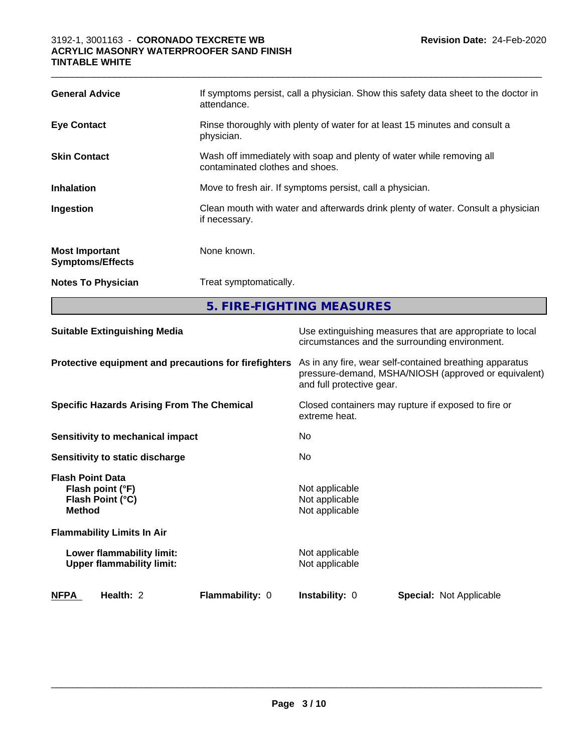| <b>General Advice</b>                            | If symptoms persist, call a physician. Show this safety data sheet to the doctor in<br>attendance.       |
|--------------------------------------------------|----------------------------------------------------------------------------------------------------------|
| <b>Eye Contact</b>                               | Rinse thoroughly with plenty of water for at least 15 minutes and consult a<br>physician.                |
| <b>Skin Contact</b>                              | Wash off immediately with soap and plenty of water while removing all<br>contaminated clothes and shoes. |
| <b>Inhalation</b>                                | Move to fresh air. If symptoms persist, call a physician.                                                |
| Ingestion                                        | Clean mouth with water and afterwards drink plenty of water. Consult a physician<br>if necessary.        |
| <b>Most Important</b><br><b>Symptoms/Effects</b> | None known.                                                                                              |
| <b>Notes To Physician</b>                        | Treat symptomatically.                                                                                   |
|                                                  | 5. FIRE-FIGHTING MEASURES                                                                                |
|                                                  |                                                                                                          |

 $\_$  ,  $\_$  ,  $\_$  ,  $\_$  ,  $\_$  ,  $\_$  ,  $\_$  ,  $\_$  ,  $\_$  ,  $\_$  ,  $\_$  ,  $\_$  ,  $\_$  ,  $\_$  ,  $\_$  ,  $\_$  ,  $\_$  ,  $\_$  ,  $\_$  ,  $\_$  ,  $\_$  ,  $\_$  ,  $\_$  ,  $\_$  ,  $\_$  ,  $\_$  ,  $\_$  ,  $\_$  ,  $\_$  ,  $\_$  ,  $\_$  ,  $\_$  ,  $\_$  ,  $\_$  ,  $\_$  ,  $\_$  ,  $\_$  ,

| <b>Suitable Extinguishing Media</b>                                              |                 | Use extinguishing measures that are appropriate to local<br>circumstances and the surrounding environment.                                   |                                |  |
|----------------------------------------------------------------------------------|-----------------|----------------------------------------------------------------------------------------------------------------------------------------------|--------------------------------|--|
| Protective equipment and precautions for firefighters                            |                 | As in any fire, wear self-contained breathing apparatus<br>pressure-demand, MSHA/NIOSH (approved or equivalent)<br>and full protective gear. |                                |  |
| <b>Specific Hazards Arising From The Chemical</b>                                |                 | Closed containers may rupture if exposed to fire or<br>extreme heat.                                                                         |                                |  |
| Sensitivity to mechanical impact                                                 |                 | No.                                                                                                                                          |                                |  |
| Sensitivity to static discharge                                                  |                 | No.                                                                                                                                          |                                |  |
| <b>Flash Point Data</b><br>Flash point (°F)<br>Flash Point (°C)<br><b>Method</b> |                 | Not applicable<br>Not applicable<br>Not applicable                                                                                           |                                |  |
| <b>Flammability Limits In Air</b>                                                |                 |                                                                                                                                              |                                |  |
| Lower flammability limit:<br><b>Upper flammability limit:</b>                    |                 | Not applicable<br>Not applicable                                                                                                             |                                |  |
| <b>NFPA</b><br>Health: 2                                                         | Flammability: 0 | <b>Instability: 0</b>                                                                                                                        | <b>Special: Not Applicable</b> |  |
|                                                                                  |                 |                                                                                                                                              |                                |  |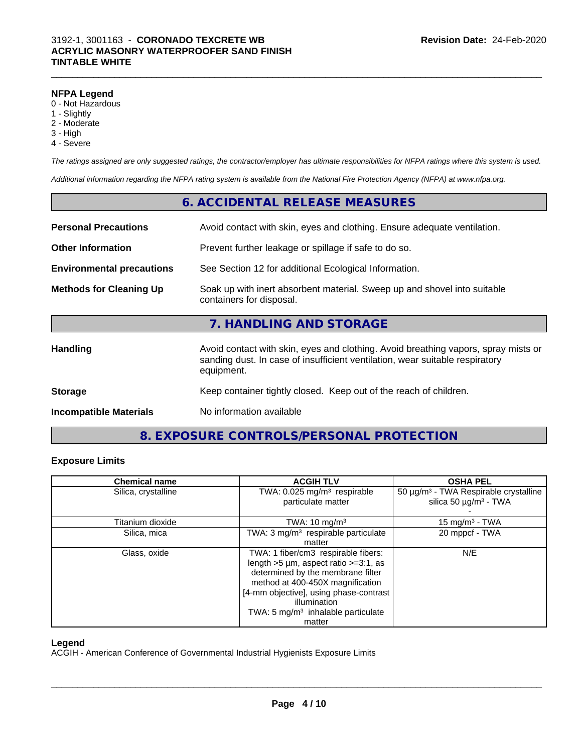#### **NFPA Legend**

- 0 Not Hazardous
- 1 Slightly
- 2 Moderate
- 3 High
- 4 Severe

*The ratings assigned are only suggested ratings, the contractor/employer has ultimate responsibilities for NFPA ratings where this system is used.*

*Additional information regarding the NFPA rating system is available from the National Fire Protection Agency (NFPA) at www.nfpa.org.*

# **6. ACCIDENTAL RELEASE MEASURES Personal Precautions** Avoid contact with skin, eyes and clothing. Ensure adequate ventilation. **Other Information** Prevent further leakage or spillage if safe to do so. **Environmental precautions** See Section 12 for additional Ecological Information. **Methods for Cleaning Up** Soak up with inert absorbent material. Sweep up and shovel into suitable containers for disposal. **7. HANDLING AND STORAGE Handling Avoid contact with skin, eyes and clothing. Avoid breathing vapors, spray mists or spray mists or** sanding dust. In case of insufficient ventilation, wear suitable respiratory equipment. **Storage** Keep container tightly closed. Keep out of the reach of children. **Incompatible Materials** No information available

# **8. EXPOSURE CONTROLS/PERSONAL PROTECTION**

#### **Exposure Limits**

| <b>Chemical name</b> | <b>ACGIH TLV</b>                                | <b>OSHA PEL</b>                                   |
|----------------------|-------------------------------------------------|---------------------------------------------------|
| Silica, crystalline  | TWA: 0.025 mg/m <sup>3</sup> respirable         | 50 µg/m <sup>3</sup> - TWA Respirable crystalline |
|                      | particulate matter                              | silica 50 $\mu$ g/m <sup>3</sup> - TWA            |
|                      |                                                 |                                                   |
| Titanium dioxide     | TWA: $10 \text{ mg/m}^3$                        | 15 mg/m <sup>3</sup> - TWA                        |
| Silica, mica         | TWA: 3 mg/m <sup>3</sup> respirable particulate | 20 mppcf - TWA                                    |
|                      | matter                                          |                                                   |
| Glass, oxide         | TWA: 1 fiber/cm3 respirable fibers:             | N/E                                               |
|                      | length $>5$ µm, aspect ratio $>=3:1$ , as       |                                                   |
|                      | determined by the membrane filter               |                                                   |
|                      | method at 400-450X magnification                |                                                   |
|                      | [4-mm objective], using phase-contrast          |                                                   |
|                      | illumination                                    |                                                   |
|                      | TWA: 5 $mg/m3$ inhalable particulate            |                                                   |
|                      | matter                                          |                                                   |

#### **Legend**

ACGIH - American Conference of Governmental Industrial Hygienists Exposure Limits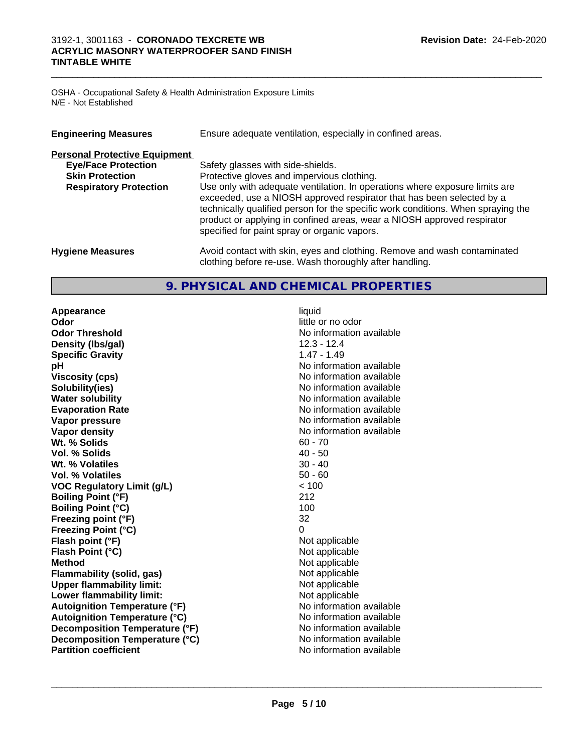#### $\_$  ,  $\_$  ,  $\_$  ,  $\_$  ,  $\_$  ,  $\_$  ,  $\_$  ,  $\_$  ,  $\_$  ,  $\_$  ,  $\_$  ,  $\_$  ,  $\_$  ,  $\_$  ,  $\_$  ,  $\_$  ,  $\_$  ,  $\_$  ,  $\_$  ,  $\_$  ,  $\_$  ,  $\_$  ,  $\_$  ,  $\_$  ,  $\_$  ,  $\_$  ,  $\_$  ,  $\_$  ,  $\_$  ,  $\_$  ,  $\_$  ,  $\_$  ,  $\_$  ,  $\_$  ,  $\_$  ,  $\_$  ,  $\_$  , 3192-1, 3001163 - **CORONADO TEXCRETE WB ACRYLIC MASONRY WATERPROOFER SAND FINISH TINTABLE WHITE**

OSHA - Occupational Safety & Health Administration Exposure Limits N/E - Not Established

| <b>Engineering Measures</b>                                                                                                   | Ensure adequate ventilation, especially in confined areas.                                                                                                                                                                                                                                                                                                                                                                                             |  |
|-------------------------------------------------------------------------------------------------------------------------------|--------------------------------------------------------------------------------------------------------------------------------------------------------------------------------------------------------------------------------------------------------------------------------------------------------------------------------------------------------------------------------------------------------------------------------------------------------|--|
| <b>Personal Protective Equipment</b><br><b>Eye/Face Protection</b><br><b>Skin Protection</b><br><b>Respiratory Protection</b> | Safety glasses with side-shields.<br>Protective gloves and impervious clothing.<br>Use only with adequate ventilation. In operations where exposure limits are<br>exceeded, use a NIOSH approved respirator that has been selected by a<br>technically qualified person for the specific work conditions. When spraying the<br>product or applying in confined areas, wear a NIOSH approved respirator<br>specified for paint spray or organic vapors. |  |
| <b>Hygiene Measures</b>                                                                                                       | Avoid contact with skin, eyes and clothing. Remove and wash contaminated<br>clothing before re-use. Wash thoroughly after handling.                                                                                                                                                                                                                                                                                                                    |  |

# **9. PHYSICAL AND CHEMICAL PROPERTIES**

**Appearance** liquid **Odor** little or no odor **Odor Threshold** No information available **Density (lbs/gal)** 12.3 - 12.4 **Specific Gravity** 1.47 - 1.49 **pH** No information available **Viscosity (cps)** No information available **Solubility(ies)** No information available **Water solubility** No information available **Evaporation Rate No information available No information available Vapor pressure** No information available **Vapor density** No information available **Wt. % Solids** 60 - 70 **Vol. % Solids** 40 - 50 **Wt. % Volatiles** 30 - 40 **Vol. % Volatiles** 50 - 60<br> **VOC Requiatory Limit (q/L)**  $\leq 100$ **VOC** Regulatory Limit (g/L)  $\times$  10<br>Boiling Point (°F) 212 **Boiling Point (°F)** 212 **Boiling Point (°C) Freezing point (°F)** 32 **Freezing Point (°C)** 0 **Flash point (°F)**<br> **Flash Point (°C)**<br> **Flash Point (°C)**<br> **Compare Server All Alta Annual Mothematic Not applicable Flash Point (°C) Method** Not applicable **Flammability (solid, gas)** Not applicable **Upper flammability limit:**<br> **Lower flammability limit:**<br>
Not applicable<br>
Not applicable **Lower flammability limit:**<br> **Autoignition Temperature (°F)** Not applicable havailable **Autoignition Temperature (°F)**<br> **Autoignition Temperature (°C)** No information available **Autoignition Temperature (°C)**<br> **Decomposition Temperature (°F)** No information available **Decomposition Temperature (°F)**<br> **Decomposition Temperature (°C)** No information available **Decomposition Temperature (°C) Partition coefficient** No information available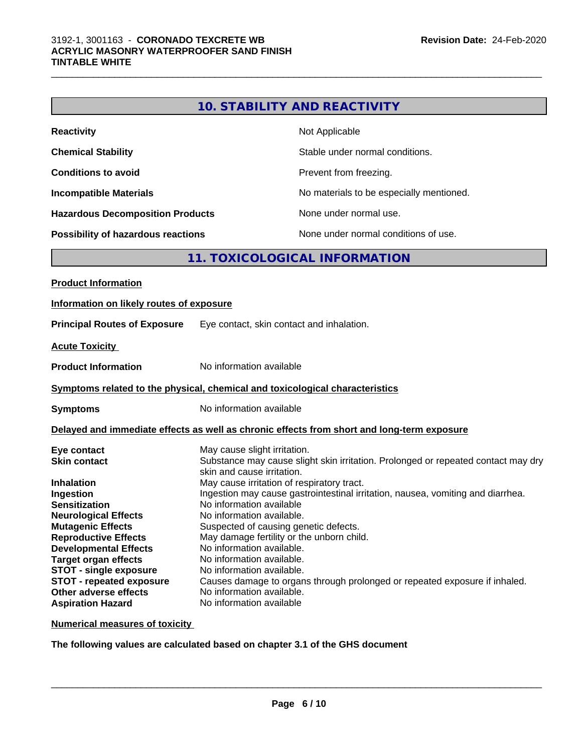|                                           | <b>10. STABILITY AND REACTIVITY</b>                                                                             |  |
|-------------------------------------------|-----------------------------------------------------------------------------------------------------------------|--|
| <b>Reactivity</b>                         | Not Applicable                                                                                                  |  |
| <b>Chemical Stability</b>                 | Stable under normal conditions.                                                                                 |  |
| <b>Conditions to avoid</b>                | Prevent from freezing.                                                                                          |  |
|                                           |                                                                                                                 |  |
| <b>Incompatible Materials</b>             | No materials to be especially mentioned.                                                                        |  |
| <b>Hazardous Decomposition Products</b>   | None under normal use.                                                                                          |  |
| <b>Possibility of hazardous reactions</b> | None under normal conditions of use.                                                                            |  |
|                                           | 11. TOXICOLOGICAL INFORMATION                                                                                   |  |
| <b>Product Information</b>                |                                                                                                                 |  |
| Information on likely routes of exposure  |                                                                                                                 |  |
|                                           |                                                                                                                 |  |
| <b>Principal Routes of Exposure</b>       | Eye contact, skin contact and inhalation.                                                                       |  |
| <b>Acute Toxicity</b>                     |                                                                                                                 |  |
| <b>Product Information</b>                | No information available                                                                                        |  |
|                                           | Symptoms related to the physical, chemical and toxicological characteristics                                    |  |
| <b>Symptoms</b>                           | No information available                                                                                        |  |
|                                           | Delayed and immediate effects as well as chronic effects from short and long-term exposure                      |  |
| Eye contact                               | May cause slight irritation.                                                                                    |  |
| <b>Skin contact</b>                       | Substance may cause slight skin irritation. Prolonged or repeated contact may dry<br>skin and cause irritation. |  |
| Inhalation                                | May cause irritation of respiratory tract.                                                                      |  |
| Ingestion                                 | Ingestion may cause gastrointestinal irritation, nausea, vomiting and diarrhea.                                 |  |
| <b>Sensitization</b>                      | No information available                                                                                        |  |
| <b>Neurological Effects</b>               | No information available.                                                                                       |  |
| <b>Mutagenic Effects</b>                  | Suspected of causing genetic defects.                                                                           |  |
| <b>Reproductive Effects</b>               | May damage fertility or the unborn child.                                                                       |  |
| <b>Developmental Effects</b>              | No information available.                                                                                       |  |
| <b>Target organ effects</b>               | No information available.                                                                                       |  |
| <b>STOT - single exposure</b>             | No information available.                                                                                       |  |
| <b>STOT - repeated exposure</b>           | Causes damage to organs through prolonged or repeated exposure if inhaled.                                      |  |
| Other adverse effects                     | No information available.                                                                                       |  |
| <b>Aspiration Hazard</b>                  | No information available                                                                                        |  |

**Numerical measures of toxicity**

**The following values are calculated based on chapter 3.1 of the GHS document**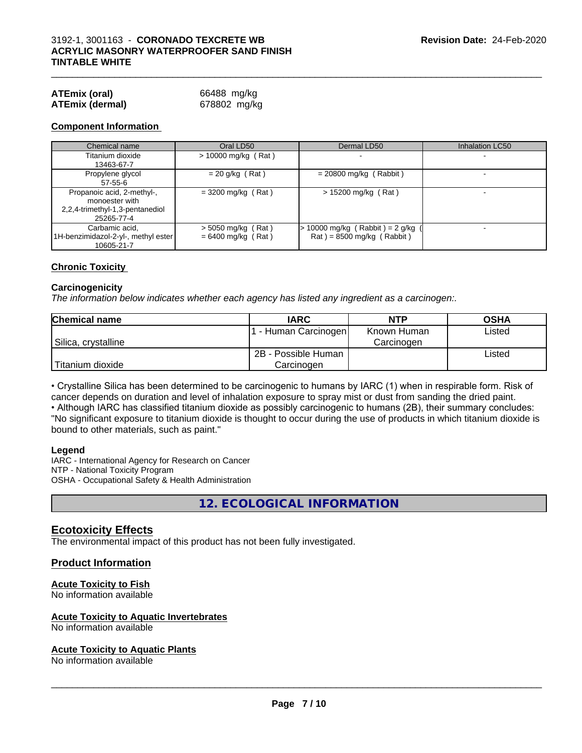| <b>ATEmix (oral)</b>   | 66488 mg/kg  |
|------------------------|--------------|
| <b>ATEmix (dermal)</b> | 678802 mg/kg |

#### **Component Information**

| Chemical name                                                                                 | Oral LD50                                    | Dermal LD50                                                            | Inhalation LC50 |
|-----------------------------------------------------------------------------------------------|----------------------------------------------|------------------------------------------------------------------------|-----------------|
| Titanium dioxide<br>13463-67-7                                                                | $> 10000$ mg/kg (Rat)                        |                                                                        |                 |
| Propylene glycol<br>57-55-6                                                                   | $= 20$ g/kg (Rat)                            | $= 20800$ mg/kg (Rabbit)                                               |                 |
| Propanoic acid, 2-methyl-,<br>monoester with<br>2,2,4-trimethyl-1,3-pentanediol<br>25265-77-4 | $=$ 3200 mg/kg (Rat)                         | $> 15200$ mg/kg (Rat)                                                  |                 |
| Carbamic acid.<br>1H-benzimidazol-2-yl-, methyl ester<br>10605-21-7                           | $>$ 5050 mg/kg (Rat)<br>$= 6400$ mg/kg (Rat) | $\cdot$ 10000 mg/kg (Rabbit) = 2 g/kg (<br>$Rat$ = 8500 mg/kg (Rabbit) |                 |

#### **Chronic Toxicity**

#### **Carcinogenicity**

*The information below indicateswhether each agency has listed any ingredient as a carcinogen:.*

| <b>Chemical name</b> | <b>IARC</b>          | <b>NTP</b>  | <b>OSHA</b> |
|----------------------|----------------------|-------------|-------------|
|                      | . - Human Carcinogen | Known Human | Listed      |
| Silica, crystalline  |                      | Carcinogen  |             |
|                      | 2B - Possible Human  |             | Listed      |
| Titanium dioxide     | Carcinoɑen           |             |             |

• Crystalline Silica has been determined to be carcinogenic to humans by IARC (1) when in respirable form. Risk of cancer depends on duration and level of inhalation exposure to spray mist or dust from sanding the dried paint.• Although IARC has classified titanium dioxide as possibly carcinogenic to humans (2B), their summary concludes: "No significant exposure to titanium dioxide is thought to occur during the use of products in which titanium dioxide is bound to other materials, such as paint."

#### **Legend**

IARC - International Agency for Research on Cancer NTP - National Toxicity Program OSHA - Occupational Safety & Health Administration

**12. ECOLOGICAL INFORMATION**

### **Ecotoxicity Effects**

The environmental impact of this product has not been fully investigated.

#### **Product Information**

#### **Acute Toxicity to Fish**

No information available

#### **Acute Toxicity to Aquatic Invertebrates**

No information available

#### **Acute Toxicity to Aquatic Plants**

No information available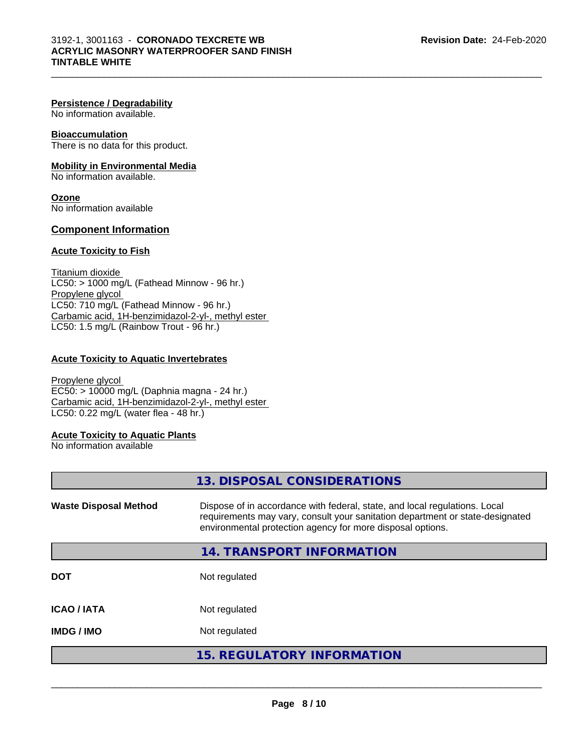#### **Persistence / Degradability**

No information available.

#### **Bioaccumulation**

There is no data for this product.

#### **Mobility in Environmental Media**

No information available.

**Ozone** No information available

### **Component Information**

### **Acute Toxicity to Fish**

Titanium dioxide  $LC50:$  > 1000 mg/L (Fathead Minnow - 96 hr.) Propylene glycol LC50: 710 mg/L (Fathead Minnow - 96 hr.) Carbamic acid, 1H-benzimidazol-2-yl-, methyl ester LC50: 1.5 mg/L (Rainbow Trout - 96 hr.)

#### **Acute Toxicity to Aquatic Invertebrates**

Propylene glycol EC50: > 10000 mg/L (Daphnia magna - 24 hr.) Carbamic acid, 1H-benzimidazol-2-yl-, methyl ester LC50: 0.22 mg/L (water flea - 48 hr.)

#### **Acute Toxicity to Aquatic Plants**

No information available

|                              | 13. DISPOSAL CONSIDERATIONS                                                                                                                                                                                               |
|------------------------------|---------------------------------------------------------------------------------------------------------------------------------------------------------------------------------------------------------------------------|
| <b>Waste Disposal Method</b> | Dispose of in accordance with federal, state, and local regulations. Local<br>requirements may vary, consult your sanitation department or state-designated<br>environmental protection agency for more disposal options. |
|                              | 14. TRANSPORT INFORMATION                                                                                                                                                                                                 |
| <b>DOT</b>                   | Not regulated                                                                                                                                                                                                             |
| <b>ICAO/IATA</b>             | Not regulated                                                                                                                                                                                                             |
| <b>IMDG/IMO</b>              | Not regulated                                                                                                                                                                                                             |
|                              | <b>15. REGULATORY INFORMATION</b>                                                                                                                                                                                         |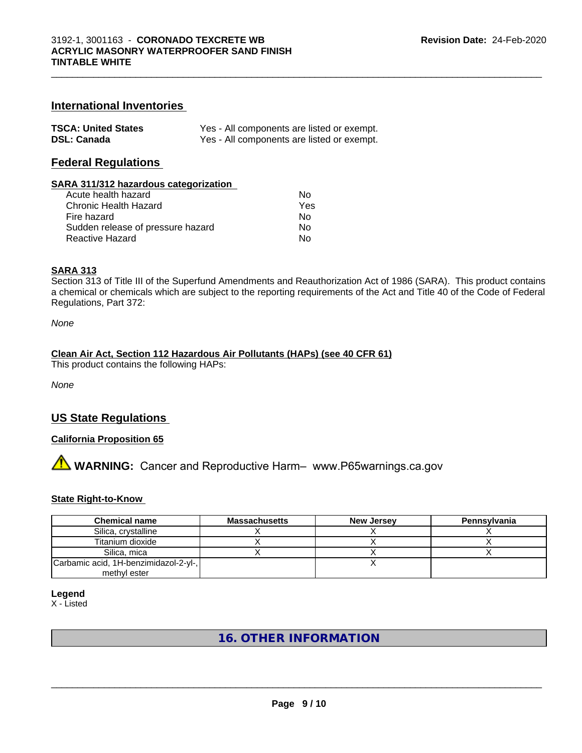## **International Inventories**

| <b>TSCA: United States</b> | Yes - All components are listed or exempt. |
|----------------------------|--------------------------------------------|
| <b>DSL: Canada</b>         | Yes - All components are listed or exempt. |

### **Federal Regulations**

#### **SARA 311/312 hazardous categorization**

| Acute health hazard               | Nο  |  |
|-----------------------------------|-----|--|
| Chronic Health Hazard             | Yes |  |
| Fire hazard                       | N٥  |  |
| Sudden release of pressure hazard | N٥  |  |
| Reactive Hazard                   | N٥  |  |

#### **SARA 313**

Section 313 of Title III of the Superfund Amendments and Reauthorization Act of 1986 (SARA). This product contains a chemical or chemicals which are subject to the reporting requirements of the Act and Title 40 of the Code of Federal Regulations, Part 372:

*None*

#### **Clean Air Act,Section 112 Hazardous Air Pollutants (HAPs) (see 40 CFR 61)**

This product contains the following HAPs:

*None*

# **US State Regulations**

### **California Proposition 65**

# **AVIMARNING:** Cancer and Reproductive Harm– www.P65warnings.ca.gov

#### **State Right-to-Know**

| <b>Chemical name</b>                  | <b>Massachusetts</b> | <b>New Jersey</b> | Pennsylvania |
|---------------------------------------|----------------------|-------------------|--------------|
| Silica, crystalline                   |                      |                   |              |
| Titanium dioxide                      |                      |                   |              |
| Silica, mica                          |                      |                   |              |
| Carbamic acid, 1H-benzimidazol-2-yl-, |                      |                   |              |
| methyl ester                          |                      |                   |              |

**Legend**

X - Listed

# **16. OTHER INFORMATION**